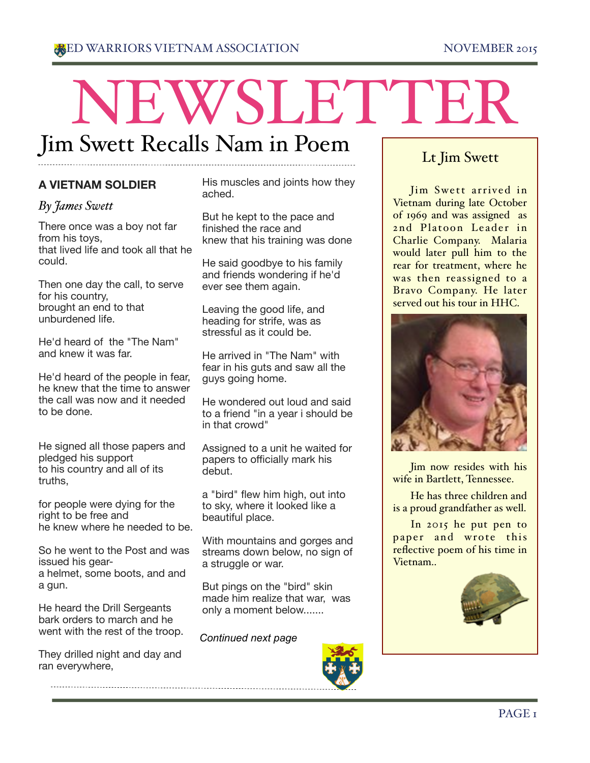# NEWSLETTER Jim Swett Recalls Nam in Poem

# **A VIETNAM SOLDIER**

## *By James Swett*

There once was a boy not far from his toys, that lived life and took all that he could.

Then one day the call, to serve for his country, brought an end to that unburdened life.

He'd heard of the "The Nam" and knew it was far.

He'd heard of the people in fear, he knew that the time to answer the call was now and it needed to be done.

He signed all those papers and pledged his support to his country and all of its truths,

for people were dying for the right to be free and he knew where he needed to be.

So he went to the Post and was issued his geara helmet, some boots, and and a gun.

He heard the Drill Sergeants bark orders to march and he went with the rest of the troop.

They drilled night and day and ran everywhere,

His muscles and joints how they ached.

But he kept to the pace and finished the race and knew that his training was done

He said goodbye to his family and friends wondering if he'd ever see them again.

Leaving the good life, and heading for strife, was as stressful as it could be.

He arrived in "The Nam" with fear in his guts and saw all the guys going home.

He wondered out loud and said to a friend "in a year i should be in that crowd"

Assigned to a unit he waited for papers to officially mark his debut.

a "bird" flew him high, out into to sky, where it looked like a beautiful place.

With mountains and gorges and streams down below, no sign of a struggle or war.

But pings on the "bird" skin made him realize that war, was only a moment below.......

#### *Continued next page*



# Lt Jim Swett

Jim Swett arrived in Vietnam during late October of 1969 and was assigned as 2nd Platoon Leader in Charlie Company. Malaria would later pull him to the rear for treatment, where he was then reassigned to a Bravo Company. He later served out his tour in HHC.



Jim now resides with his wife in Bartlett, Tennessee.

He has three children and is a proud grandfather as well.

In 2015 he put pen to paper and wrote this reflective poem of his time in Vietnam..